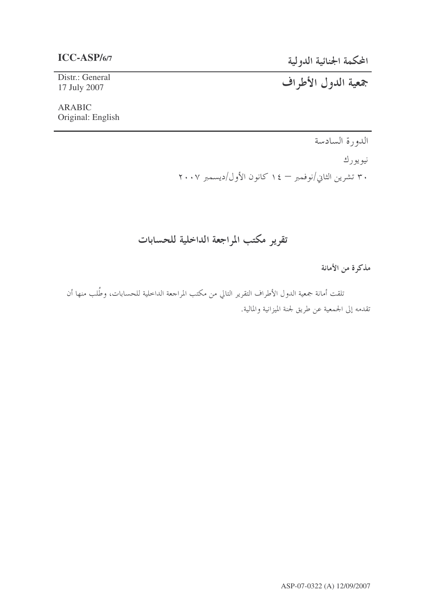## $ICC-ASP/6/7$

المحكمة الجنائية الدولية

جمعية الدول الأطراف

## Distr.: General 17 July 2007

## **ARABIC** Original: English

الدورة السادسة نيويورك ۳۰ تشرین الثاني/نوفمبر — ۱٤ كانون الأول/دیسمبر ۲۰۰۷

# تقرير مكتب المراجعة الداخلية للحسابات

مذكرة من الأمانة

تلقت أمانة جمعية الدول الأطراف التقرير التالي من مكتب المراجعة الداخلية للحسابات، وطُلب منها أن تقدمه إلى الجمعية عن طريق لجنة الميزانية والمالية.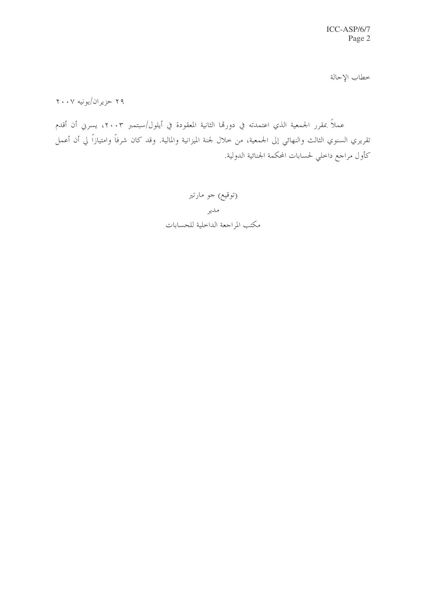خطاب الإحالة

۲۹ حزیران/یونیه ۲۰۰۷

عملاً بمقرر الجمعية الذي اعتمدته في دورتما الثانية المعقودة في أيلول/سبتمبر ٢٠٠٣، يسرني أن أقدم تقريري السنوي الثالث والنهائي إلى الجمعية، من خلال لجنة الميزانية والمالية. وقد كان شرفاً وامتيازاً لي أن أعمل كأول مراجع داخلي لحسابات المحكمة الجنائية الدولية.

> (توقیع) جو مارتیر مدير مكتب المراجعة الداخلية للحسابات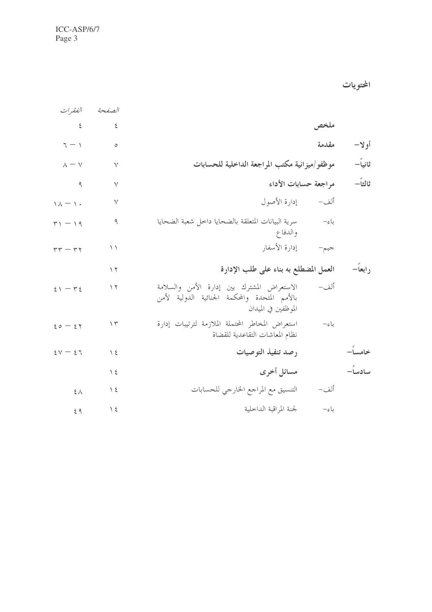ICC-ASP/6/7 Page 3

المحتويات

|         |                      |                                                                                                                    | الصفحة             | الفقيرات                     |
|---------|----------------------|--------------------------------------------------------------------------------------------------------------------|--------------------|------------------------------|
|         | ملخص                 |                                                                                                                    | $\boldsymbol{\xi}$ | $\epsilon$                   |
| أولا–   | مقدمة                |                                                                                                                    | $\circ$            | $7 - 1$                      |
| ثانياً— |                      | موظفو/ميزانية مكتب المراجعة الداخلية للحسابات                                                                      | $\vee$             | $\lambda=\mathrm{V}$         |
| ثالثاً— | مراجعة حسابات الأداء |                                                                                                                    | $\lor$             | $\overline{q}$               |
|         |                      | ألف-         إدارة الأصول                                                                                          | $\vee$             | $\Lambda - \Lambda$          |
|         | باءِ–                | سرية البيانات المتعلقة بالضحايا داخل شعبة الضحايا<br>والدفاع                                                       | ٩                  | $\mathbf{r} \setminus -1$ 9  |
|         | جيم-                 | إدارة الأسفار                                                                                                      | $\setminus$        | $rr - rr$                    |
| رابعاً— |                      | العمل المضطلع به بناء على طلب الإدارة                                                                              | $\gamma$           |                              |
|         | ألف–                 | الاستعراض المشترك بين إدارة الأمن والسلامة<br>بالأمم المتحدة والمحكمة الجنائية الدولية لأمن<br>الموظفين في الميدان | $\gamma$           | $51 - 75$                    |
|         | باء–                 | استعراض المخاطر المحتملة الملازمة لترتيبات إدارة<br>نظام المعاشات التقاعدية للقضاة                                 | ۱۳                 | $20 - 27$                    |
| خامسا-  |                      | رصد تنفيذ التوصيات                                                                                                 | $\setminus$ 2      | $\epsilon v - \epsilon \tau$ |
| سادساً– |                      | مسائل أخرى                                                                                                         | $\frac{1}{2}$      |                              |
|         | ألف–                 | التنسيق مع المراجع الخارجي للحسابات                                                                                | $\frac{1}{2}$      | $\xi \wedge$                 |
|         | باءِ–                | لجنة المراقبة الداخلية                                                                                             | $\setminus$ 2      | 69                           |
|         |                      |                                                                                                                    |                    |                              |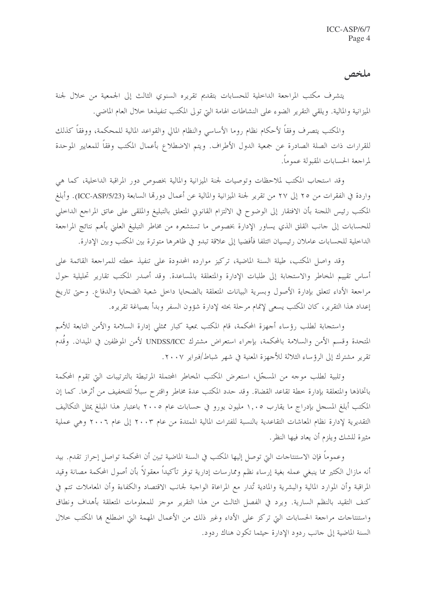ملخص

يتشرف مكتب المراجعة الداخلية للحسابات بتقديم تقريره السنوي الثالث إلى الجمعية من خلال لجنة الميزانية والمالية. ويلقى التقرير الضوء على النشاطات الهامة التي تولى المكتب تنفيذها حلال العام الماضي.

والمكتب يتصرف وفقاً لأحكام نظام روما الأساسي والنظام المالي والقواعد المالية للمحكمة، ووفقاً كذلك للقرارات ذات الصلة الصادرة عن جمعية الدول الأطراف. ويتم الاضطلاع بأعمال المكتب وفقاً للمعايير الموحدة لمراجعة الحسابات المقبولة عموماً.

وقد استحاب المكتب لملاحظات وتوصيات لجنة الميزانية والمالية بخصوص دور المراقبة الداخلية، كما هي واردة في الفقرات من ٢٥ إلى ٢٧ من تقرير لجنة الميزانية والمالية عن أعمال دورقما السابعة (ICC-ASP/5/23). وأبلغ المكتب رئيس اللجنة بأن الافتقار إلى الوضوح في الالتزام القانوين المتعلق بالتبليغ والملقى على عاتق المراجع الداحلي للحسابات إلى حانب القلق الذي يساور الإدارة بخصوص ما تستشعره من مخاطر التبليغ العلين بأهم نتائج المراجعة الداخلية للحسابات عاملان رئيسيان ائتلفا فأفضيا إلى علاقة تبدو في ظاهرها متوترة بين المكتب وبين الإدارة.

وقد واصل المكتب، طيلة السنة الماضية، تركيز موارده المحدودة على تنفيذ خطته للمراجعة القائمة على أساس تقييم المخاطر والاستجابة إلى طلبات الإدارة والمتعلقة بالمساعدة. وقد أصدر المكتب تقارير تحليلية حول مراجعة الأداء تتعلق بإدارة الأصول وبسرية البيانات المتعلقة بالضحايا داخل شعبة الضحايا والدفاع. وحتى تاريخ إعداد هذا التقرير، كان المكتب يسعى لإتمام مرحلة بحثه لإدارة شؤون السفر وبدأ بصياغة تقريره.

واستجابة لطلب رؤساء أجهزة المحكمة، قام المكتب بمعية كبار ممثلي إدارة السلامة والأمن التابعة للأمم المتحدة وقسم الأمن والسلامة بالمحكمة، بإحراء استعراض مشترك UNDSS/ICC لأمن الموظفين في الميدان. وقدم تقرير مشترك إلى الرؤساء الثلاثة للأحهزة المعنية في شهر شباط/فبراير ٢٠٠٧.

وتلبية لطلب موجه من المسجّل، استعرض المكتب المخاطر المحتملة المرتبطة بالترتيبات التي تقوم المحكمة باتخاذها والمتعلقة بإدارة خطة تقاعد القضاة. وقد حدد المكتب عدة مخاطر واقترح سبلاً للتخفيف من أثرها. كما إن المكتب أبلغ المسحل بإدراج ما يقارب ١,٠٥ مليون يورو في حسابات عام ٢٠٠٥ باعتبار هذا المبلغ يمثل التكاليف التقديرية لإدارة نظام المعاشات التقاعدية بالنسبة للفترات المالية الممتدة من عام ٢٠٠٣ إلى عام ٢٠٠٦ وهي عملية مثيرة للشك ويلزم أن يعاد فيها النظر .

وعموما فإن الاستنتاجات التي توصل إليها المكتب في السنة الماضية تبين أن المحكمة تواصل إحراز تقدم. بيد أنه مازال الكثير مما ينبغي عمله بغية إرساء نظم وممارسات إدارية توفر تأكيداً معقولاً بأن أصول المحكمة مصانة وقيد المراقبة وأن الموارد المالية والبشرية والمادية تُدار مع المراعاة الواجبة لجانب الاقتصاد والكفاءة وأن المعاملات تتم في كنف التقيد بالنظم السارية. ويرد في الفصل الثالث من هذا التقرير موجز للمعلومات المتعلقة بأهداف ونطاق واستنتاجات مراجعة الحسابات التي تركز على الأداء وغير ذلك من الأعمال المهمة التي اضطلع ها المكتب حلال السنة الماضية إلى حانب ردود الإدارة حيثما تكون هناك ردود.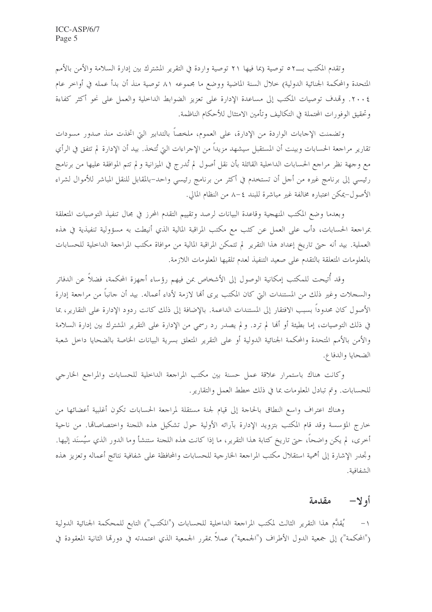وتقدم المكتب بــ٥٢ توصية (بما فيها ٢١ توصية وإردة في التقرير المشترك بين إدارة السلامة والأمن بالأمم المتحدة والمحكمة الجنائية الدولية) خلال السنة الماضية ووضع ما مجموعه ٨١ توصية منذ أن بدأ عمله في أواخر عام ٢٠٠٤. وقمدف توصيات المكتب إلى مساعدة الإدارة على تعزيز الضوابط الداخلية والعمل على نحو أكثر كفاءة وتحقيق الوفورات المحتملة في التكاليف وتأمين الامتثال للأحكام الناظمة.

وتضمنت الإجابات الواردة من الإدارة، على العموم، ملخصاً بالتدابير التي اتخذت منذ صدور مسودات تقارير مراجعة الحسابات وبينت أن المستقبل سيشهد مزيداً من الإجراءات التي تُتخذ. بيد أن الإدارة لم تتفق في الرأي مع وجهة نظر مراجع الحسابات الداخلية القائلة بأن نقل أصول لم تُدرج في الميزانية ولم تتم الموافقة عليها من برنامج رئيسي إلى برنامج غيره من أجل أن تستخدم في أكثر من برنامج رئيسي واحد–بالمقابل للنقل المباشر للأموال لشراء الأصول–يمكن اعتباره مخالفة غير مباشرة للبند ٤–٨ من النظام المالي.

وبعدما وضع المكتب المنهجية وقاعدة البيانات لرصد وتقييم التقدم المحرز في مجال تنفيذ التوصيات المتعلقة بمراجعة الحسابات، دأب على العمل عن كثب مع مكتب المراقبة المالية الذي أنيطت به مسؤولية تنفيذية في هذه العملية. بيد أنه حتى تاريخ إعداد هذا التقرير لم تتمكن المراقبة المالية من موافاة مكتب المراجعة الداخلية للحسابات بالمعلومات المتعلقة بالتقدم على صعيد التنفيذ لعدم تلقيها المعلومات اللازمة.

وقد أُتيحت للمكتب إمكانية الوصول إلى الأشخاص بمن فيهم رؤساء أحهزة المحكمة، فضلاً عن الدفاتر والسحلات وغير ذلك من المستندات التي كان المكتب يرى ألها لازمة لأداء أعماله. بيد أن حانباً من مراجعة إدارة الأصول كان محدوداً بسبب الافتقار إلى المستندات الداعمة. بالإضافة إلى ذلك كانت ردود الإدارة على التقارير، بما في ذلك التوصيات، إما بطيئة أو ألها لم ترد. ولم يصدر رد رسمي من الإدارة على التقرير المشترك بين إدارة السلامة والأمن بالأمم المتحدة والمحكمة الجنائية الدولية أو على التقرير المتعلق بسرية البيانات الخاصة بالضحايا داحل شعبة الضحايا والدفاع.

وكانت هناك باستمرار علاقة عمل حسنة بين مكتب المراجعة الداخلية للحسابات والمراجع الخارجي للحسابات. وتم تبادل المعلومات بما في ذلك خطط العمل والتقارير.

وهناك اعتراف واسع النطاق بالحاجة إلى قيام لجنة مستقلة لمراجعة الحسابات تكون أغلبية أعضائها من حارج المؤسسة وقد قام المكتب بتزويد الإدارة بآرائه الأولية حول تشكيل هذه اللجنة واختصاصاتها. من ناحية أخرى، لم يكن واضحاً، حتى تاريخ كتابة هذا التقرير، ما إذا كانت هذه اللجنة ستنشأ وما الدور الذي سيُسنَد إليها. وتجدر الإشارة إلى أهمية استقلال مكتب المراجعة الخارجية للحسابات والمحافظة على شفافية نتائج أعماله وتعزيز هذه الشفافية.

#### أو لا – مقدمة

يُقدَّم هذا التقرير الثالث لمكتب المراجعة الداخلية للحسابات ("المكتب") التابع للمحكمة الجنائية الدولية  $\rightarrow$ ("المحكمة") إلى جمعية الدول الأطراف ("الجمعية") عملاً بمقرر الجمعية الذي اعتمدته في دورتما الثانية المعقودة في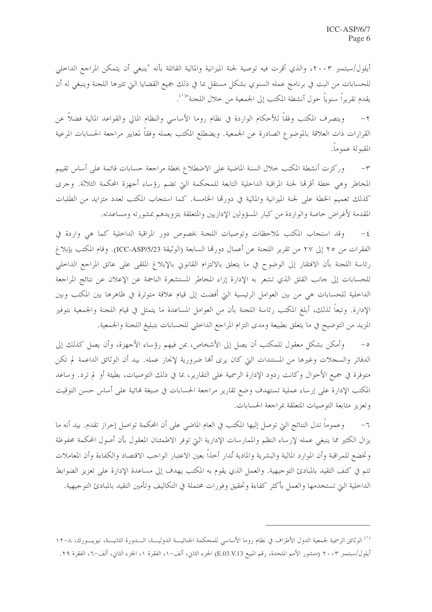أيلول/سبتمبر ٢٠٠٣، والذي أقرت فيه توصية لجنة الميزانية والمالية القائلة بأنه "ينبغي أن يتمكن المراجع الداخلي للحسابات من البت في برنامج عمله السنوي بشكل مستقل بما في ذلك جميع القضايا التي تثيرها اللجنة وينبغي له أن يقدم تقريراً سنوياً حول أنشطة المكتب إلى الجمعية من خلال اللجنة"<sup>(١</sup>).

ويتصرف المكتب وفقاً للأحكام الواردة في نظام روما الأساسي والنظام المالي والقواعد المالية فضلاً عن  $-\tau$ القرارات ذات العلاقة بالموضوع الصادرة عن الجمعية. ويضطلع المكتب بعمله وفقاً لمعايير مراجعة الحسابات المرعية المقبولة عموماً.

وركزت أنشطة المكتب حلال السنة الماضية على الاضطلاع بخطة مراجعة حسابات قائمة على أساس تقييم  $-\tau$ المخاطر وهي خطة أقرقما لجنة المراقبة الداخلية التابعة للمحكمة التي تضم رؤساء أجهزة المحكمة الثلاثة. وجرى كذلك تعميم الخطة على لجنة الميزانية والمالية في دورتما الخامسة. كما استجاب المكتب لعدد متزايد من الطلبات المقدمة لأغراض حاصة والواردة من كبار المسؤولين الإداريين والمتعلقة بتزويدهم بمشورته ومساعدته.

وقد استجاب المكتب لملاحظات وتوصيات اللجنة بخصوص دور المراقبة الداخلية كما هي واردة في  $-\xi$ الفقرات من ٢٥ إلى ٢٧ من تقرير اللجنة عن أعمال دورها السابعة (الوثيقة ICC-ASP/5/23). وقام المكتب بإبلاغ رئاسة اللجنة بأن الافتقار إلى الوضوح في ما يتعلق بالالتزام القانوني بالإبلاغ الملقى على عاتق المراجع الداخلي للحسابات إلى حانب القلق الذي تشعر به الإدارة إزاء المخاطر المستشعرة الناجمة عن الإعلان عن نتائج المراجعة الداخلية للحسابات هي من بين العوامل الرئيسية التي أفضت إلى قيام علاقة متوترة في ظاهرها بين المكتب وبين الإدارة. وتبعا لذلك، أبلغ المكتب رئاسة اللجنة بأن من العوامل المساعدة ما يتمثل في قيام اللجنة والجمعية بتوفير المزيد من التوضيح في ما يتعلق بطبيعة ومدى التزام المراجع الداخلي للحسابات بتبليغ اللحنة والجمعية.

وأمكن بشكلٍ معقول للمكتب أن يصل إلى الأشخاص، بمن فيهم رؤساء الأجهزة، وأن يصل كذلك إلى  $-\circ$ الدفاتر والسجلات وغيرها من المستندات التي كان يرى ألها ضرورية لإنجاز عمله. بيد أن الوثائق الداعمة لم تكن متوفرة في جميع الأحوال وكانت ردود الإدارة الرسمية على التقارير، بما في ذلك التوصيات، بطيئة أو لم ترد. وساعد المكتب الإدارة على إرساء عملية تستهدف وضع تقارير مراجعة الحسابات في صيغة فمائية على أساس حسن التوقيت وتعزيز متابعة التوصيات المتعلقة بمراجعة الحسابات.

٦− وعموماً تدل النتائج التي توصل إليها المكتب في العام الماضي على أن المحكمة تواصل إحراز تقدم. بيد أنه ما يزال الكثير مما ينبغي عمله لإرساء النظم والممارسات الإدارية التي توفر الاطمئنان المعقول بأن أصول المحكمة محفوظة وتخضع للمراقبة وأن الموارد المالية والبشرية والمادية تُدار أحذاً بعين الاعتبار الواحب الاقتصاد والكفاءة وأن المعاملات تتم في كنف التقيد بالمبادئ التوحيهية. والعمل الذي يقوم به المكتب يهدف إلى مساعدة الإدارة على تعزيز الضوابط الداخلية التي تستخدمها والعمل بأكثر كفاءة وتحقيق وفورات محتملة في التكاليف وتأمين التقيد بالمبادئ التوجيهية.

<sup>&</sup>lt;sup>(١)</sup> الوثائق الرسمية لجمعية الدول الأطراف في نظام روما الأساسي للمحكمة الجنائيـــة الدوليـــة، الـــدورة الثانيــــة، نيويـــورك، ٨–١٢ أيلول/سبتمبر ٢٠٠٣ (منشور الأمم المتحدة، رقم المبيع E.O3.V.13) الجزء الثاني، ألف–١، الفقرة ١، الجزء الثاني، ألف–٦، الفقرة ٢٩.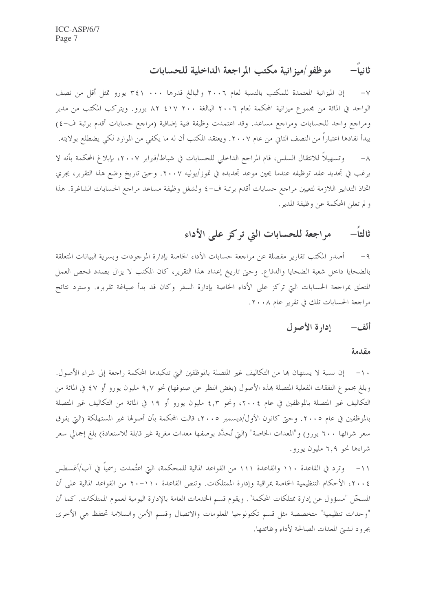#### موظفو /ميزانية مكتب المراجعة الداخلية للحسابات ثانيا—

إن الميزانية المعتمدة للمكتب بالنسبة لعام ٢٠٠٦ والبالغ قدرها ٠٠٠ ٣٤١ يورو تمثل أقل من نصف  $-\vee$ الواحد في المائة من مجموع ميزانية المحكمة لعام ٢٠٠٦ البالغة ٢٠٠ ١٧١٢ ٨٢ يورو. ويتركب المكتب من مدير ومراجع واحد للحسابات ومراجع مساعد. وقد اعتمدت وظيفة فنية إضافية (مراجع حسابات أقدم برتبة ف-٤) يبدأ نفاذها اعتباراً من النصف الثاني من عام ٢٠٠٧. ويعتقد المكتب أن له ما يكفي من الموارد لكي يضطلع بولايته. وتسهيلاً للانتقال السلس، قام المراجع الداخلي للحسابات في شباط/فبراير ٢٠٠٧، بإبلاغ المحكمة بأنه لا  $-\lambda$ يرغب في تجديد عقد توظيفه عندما يحين موعد تجديده في تموز/يوليه ٢٠٠٧. وحتى تاريخ وضع هذا التقرير، يجري اتخاذ التدابير اللازمة لتعيين مراجع حسابات أقدم برتبة ف-٤ ولشغل وظيفة مساعد مراجع الحسابات الشاغرة. هذا و لم تعلن المحكمة عن وظيفة المدير .

#### مراجعة للحسابات التي تركز على الأداء ثالثا—

أصدر المكتب تقارير مفصلة عن مراجعة حسابات الأداء الخاصة بإدارة الموجودات وبسرية البيانات المتعلقة  $-9$ بالضحايا داخل شعبة الضحايا والدفاع. وحتى تاريخ إعداد هذا التقرير، كان المكتب لا يزال بصدد فحص العمل المتعلق بمراجعة الحسابات التي تركز على الأداء الخاصة بإدارة السفر وكان قد بدأ صياغة تقريره. وسترد نتائج مراجعة الحسابات تلك في تقرير عام ٢٠٠٨.

#### ألف– إدارة الأصول

### مقدمة

١٠– إن نسبة لا يستهان بما من التكاليف غير المتصلة بالموظفين التي تتكبدها المحكمة راجعة إلى شراء الأصول. وبلغ مجموع النفقات الفعلية المتصلة بمذه الأصول (بغض النظر عن صنوفها) نحو ٩,٧ مليون يورو أو ٤٧ في المائة من التكاليف غير المتصلة بالموظفين في عام ٢٠٠٤، ونحو ٤,٣ مليون يورو أو ١٩ في المائة من التكاليف غير المتصلة بالموظفين في عام ٢٠٠٥. وحتى كانون الأول/ديسمبر ٢٠٠٥، قالت المحكمة بأن أصولها غير المستهلكة (التي يفوق سعر شرائها ٦٠٠ يورو) و"المعدات الخاصة" (التي تُحدَّد بوصفها معدات مغرية غير قابلة للاستعادة) بلغ إجمالي سعر شراءها نحو ٦,٩ مليون يورو.

١١– وترد في القاعدة ١١٠ والقاعدة ١١١ من القواعد المالية للمحكمة، التي اعتُمدت رسمياً في آب/أغسطس ٢٠٠٤، الأحكام التنظيمية الخاصة بمراقبة وإدارة الممتلكات. وتنص القاعدة ٢٠٠١٠ من القواعد المالية على أن المسجّل "مسؤول عن إدارة ممتلكات المحكمة". ويقوم قسم الخدمات العامة بالإدارة اليومية لعموم الممتلكات. كما أن "وحدات تنظيمية" متخصصة مثل قسم تكنولوجيا المعلومات والاتصال وقسم الأمن والسلامة تحتفظ هي الأحرى بجرود لشيق المعدات الصالحة لأداء وظائفها.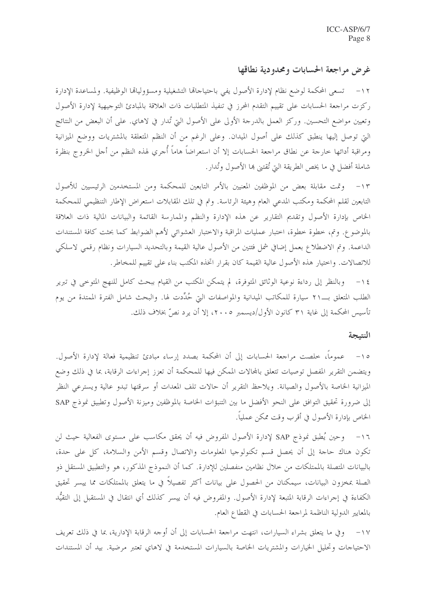## غرض مراجعة الحسابات ومحدودية نطاقها

١٢ – تسعى المحكمة لوضع نظام لإدارة الأصول يفي باحتياجاها التشغيلية ومسؤولياها الوظيفية. ولمساعدة الإدارة ركزت مراجعة الحسابات على تقييم التقدم المحرز في تنفيذ المتطلبات ذات العلاقة بالمبادئ التوجيهية لإدارة الأصول وتعيين مواضع التحسين. وركز العمل بالدرجة الأولى على الأصول التي تُدار في لاهاي. على أن البعض من النتائج التي توصل إليها ينطبق كذلك على أصول الميدان. وعلى الرغم من أن النظم المتعلقة بالمشتريات ووضع الميزانية ومراقبة أدائها حارجة عن نطاق مراجعة الحسابات إلا أن استعراضاً هاماً أُجري لهذه النظم من أجل الخروج بنظرة شاملة أفضل في ما يخص الطريقة التي تُقتني ها الأصول وتُدار.

١٣– وقت مقابلة بعض من الموظفين المعنيين بالأمر التابعين للمحكمة ومن المستخدمين الرئيسيين للأصول التابعين لقلم المحكمة ومكتب المدعى العام وهيئة الرئاسة. وتم في تلك المقابلات استعراض الإطار التنظيمي للمحكمة الخاص بإدارة الأصول وتقديم التقارير عن هذه الإدارة والنظم والممارسة القائمة والبيانات المالية ذات العلاقة بالموضوع. وتم، خطوة خطوة، اختبار عمليات المراقبة والاختبار العشوائي لأهم الضوابط كما بحثت كافة المستندات الداعمة. وتم الاضطلاع بعمل إضافي شمل فئتين من الأصول عالية القيمة وبالتحديد السيارات ونظام رقمي لاسلكي للاتصالات. واختيار هذه الأصول عالية القيمة كان بقرار اتخذه المكتب بناء على تقييم للمخاطر.

١٤− وبالنظر إلى رداءة نوعية الوثائق المتوفرة، لم يتمكن المكتب من القيام ببحث كامل للنهج المتوحى في تبرير الطلب المتعلق بــــــ ١٢ سيارة للمكاتب الميدانية والمواصفات التي حُدِّدت لها. والبحث شامل الفترة الممتدة من يوم تأسيس المحكمة إلى غاية ٣١ كانون الأول/ديسمبر ٢٠٠٥، إلا أن يرد نصِّ بخلاف ذلك.

### النتيجة

١٥– عموماً، خلصت مراجعة الحسابات إلى أن المحكمة بصدد إرساء مبادئ تنظيمية فعالة لإدارة الأصول. ويتضمن التقرير المفصل توصيات تتعلق بالمحالات الممكن فيها للمحكمة أن تعزز إجراءات الرقابة، بما في ذلك وضع الميزانية الخاصة بالأصول والصيانة. ويلاحظ التقرير أن حالات تلف المعدات أو سرقتها تبدو عالية ويسترعى النظر إلى ضرورة تحقيق التوافق على النحو الأفضل ما بين التنبؤات الخاصة بالموظفين وميزنة الأصول وتطبيق نموذج SAP الخاص بإدارة الأصول في أقرب وقت ممكن عملياً.

١٦– وحين يُطبق نموذج SAP لإدارة الأصول المفروض فيه أن يحقق مكاسب على مستوى الفعالية حيث لن تكون هناك حاجة إلى أن يحصل قسم تكنولوجيا المعلومات والاتصال وقسم الأمن والسلامة، كل على حدة، بالبيانات المتصلة بالممتلكات من حلال نظامين منفصلين للإدارة. كما أن النموذج المذكور، هو والتطبيق المستقل ذو الصلة بمخزون البيانات، سيمكنان من الحصول على بيانات أكثر تفصيلاً في ما يتعلق بالممتلكات مما ييسر تحقيق الكفاءة في إجراءات الرقابة المتبعة لإدارة الأصول. والمفروض فيه أن ييسر كذلك أي انتقال في المستقبل إلى التقيُّد بالمعايير الدولية الناظمة لمراجعة الحسابات في القطاع العام.

١٧– وفي ما يتعلق بشراء السيارات، انتهت مراجعة الحسابات إلى أن أوجه الرقابة الإدارية، بما في ذلك تعريف الاحتياجات وتحليل الخيارات والمشتريات الخاصة بالسيارات المستخدمة في لاهاي تعتبر مرضية. بيد أن المستندات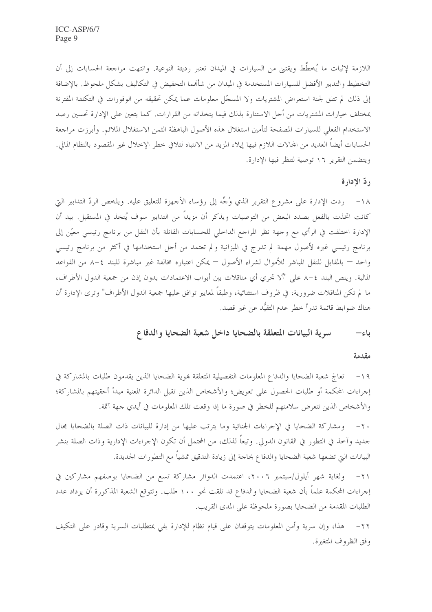اللازمة لإثبات ما يُخطَّط ويقتني من السيارات في الميدان تعتبر رديئة النوعية. وانتهت مراجعة الحسابات إلى أن التخطيط والتدبير الأفضل للسيارات المستخدمة في الميدان من شألهما التخفيض في التكاليف بشكل ملحوظ. بالإضافة إلى ذلك لم تتلق لجنة استعراض المشتريات ولا المسجّل معلومات عما يمكن تحقيقه من الوفورات في التكلفة المقترنة بمختلف خيارات المشتريات من أحل الاستنارة بذلك فيما يتخذانه من القرارات. كما يتعين على الإدارة تحسين رصد الاستخدام الفعلي للسيارات المصفحة لتأمين استغلال هذه الأصول الباهظة الثمن الاستغلال الملائم. وأبرزت مراجعة الحسابات أيضاً العديد من المحالات اللازم فيها إيلاء المزيد من الانتباه لتلافي حطر الإخلال غير المقصود بالنظام المالي. ويتضمن التقرير ١٦ توصية لتنظر فيها الإدارة.

### ردّ الإدارة

١٨ – ردت الإدارة على مشروع التقرير الذي وُجِّه إلى رؤساء الأجهزة للتعليق عليه. ويلخص الردّ التدابير التي كانت اتخذت بالفعل بصدد البعض من التوصيات ويذكر أن مزيداً من التدابير سوف يُتخذ في المستقبل. بيد أن الإدارة اختلفت في الرأي مع وجهة نظر المراجع الداخلي للحسابات القائلة بأن النقل من برنامج رئيسي معيّن إلى برنامج رئيسي غيره لأصول مهمة لم تدرج في الميزانية و لم تعتمد من أحل استخدامها في أكثر من برنامج رئيسي واحد — بالمقابل للنقل المباشر للأموال لشراء الأصول — يمكن اعتباره مخالفة غير مباشرة للبند ٤–٨ من القواعد المالية. وينص البند ٤–٨ على "ألا تجري أي مناقلات بين أبواب الاعتمادات بدون إذن من جمعية الدول الأطراف، ما لم تكن المناقلات ضرورية، في ظروف استثنائية، وطبقاً لمعايير توافق عليها جمعية الدول الأطراف" وترى الإدارة أن هناك ضوابط قائمة تدرأ خطر عدم التقيُّد عن غير قصد.

> سرية البيانات المتعلقة بالضحايا داخل شعبة الضحايا والدفاع باء—

#### مقدمة

١٩ – تعالج شعبة الضحايا والدفاع المعلومات التفصيلية المتعلقة بموية الضحايا الذين يقدمون طلبات بالمشاركة في إجراءات المحكمة أو طلبات الحصول على تعويض؛ والأشخاص الذين تقبل الدائرة المعنية مبدأ أحقيتهم بالمشاركة؛ والأشخاص الذين تتعرض سلامتهم للخطر في صورة ما إذا وقعت تلك المعلومات في أيدي جهة آثمة.

٢٠ – ومشاركة الضحايا في الإجراءات الجنائية وما يترتب عليها من إدارة للبيانات ذات الصلة بالضحايا مجال جديد وآخذ في التطور في القانون الدولي. وتبعاً لذلك، من المحتمل أن تكون الإجراءات الإدارية وذات الصلة بنشر البيانات التي تضعها شعبة الضحايا والدفاع بحاجة إلى زيادة التدقيق تمشيا مع التطورات الجديدة.

٢١- ولغاية شهر أيلول/سبتمبر ٢٠٠٦، اعتمدت الدوائر مشاركة تسع من الضحايا بوصفهم مشاركين في إجراءات المحكمة علماً بأن شعبة الضحايا والدفاع قد تلقت نحو ١٠٠ طلب. وتتوقع الشعبة المذكورة أن يزداد عدد الطلبات المقدمة من الضحايا بصورة ملحوظة على المدى القريب.

٢٢ – هذا، وإن سرية وأمن المعلومات يتوقفان على قيام نظام للإدارة يفي بمتطلبات السرية وقادر على التكيف وفق الظروف المتغيرة.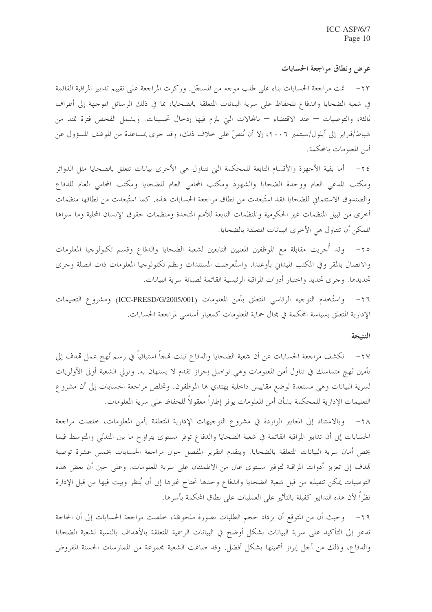#### غرض ونطاق مراجعة الحسابات

٢٣ – تمت مراجعة الحسابات بناء على طلب موجه من المسجّل. وركزت المراجعة على تقييم تدابير المراقبة القائمة في شعبة الضحايا والدفاع للحفاظ على سرية البيانات المتعلقة بالضحايا، بما في ذلك الرسائل الموجهة إلى أطراف ثالثة، والتوصيات — عند الاقتضاء — بالمحالات التي يلزم فيها إدخال تحسينات. ويشمل الفحص فترة تمتد من شباط/فبراير إلى أيلول/سبتمبر ٢٠٠٦، إلا أن يُنصِّ على حلاف ذلك، وقد حرى بمساعدة من الموظف المسؤول عن أمن المعلومات بالمحكمة.

٢٤ – أما بقية الأجهزة والأقسام التابعة للمحكمة التي تتناول هي الأخرى بيانات تتعلق بالضحايا مثل الدوائر ومكتب المدعى العام ووحدة الضحايا والشهود ومكتب المحامي العام للضحايا ومكتب المحامي العام للدفاع والصندوق الاستئماني للضحايا فقد استُبعدت من نطاق مراجعة الحسابات هذه. كما استُبعدت من نطاقها منظمات أخرى من قبيل المنظمات غير الحكومية والمنظمات التابعة للأمم المتحدة ومنظمات حقوق الإنسان المحلية وما سواها الممكن أن تتناول هي الأخرى البيانات المتعلقة بالضحايا.

٢٥– وقد أجريت مقابلة مع الموظفين المعنيين التابعين لشعبة الضحايا والدفاع وقسم تكنولوجيا المعلومات والاتصال بالمقر وفي المكتب الميداني بأوغندا. واستُعرضت المستندات ونظم تكنولوجيا المعلومات ذات الصلة وجرى تحديدها. وحرى تحديد واحتبار أدوات المراقبة الرئيسية القائمة لصيانة سرية البيانات.

٢٦- واستُخدم التوجيه الرئاسي المتعلق بأمن المعلومات (ICC-PRESD/G/2005/001) ومشروع التعليمات الإدارية المتعلق بسياسة المحكمة في مجال حماية المعلومات كمعيار أساسي لمراجعة الحسابات.

#### النتمجة

٢٧– تكشف مراجعة الحسابات عن أن شعبة الضحايا والدفاع تبنت فمجاً استباقياً في رسم نُهج عمل قمدف إلى تأمين نَهج متماسك في تناول أمن المعلومات وهي تواصل إحراز تقدم لا يستهان به. وتولي الشعبة أولى الأولويات لسرية البيانات وهي مستعدة لوضع مقاييس داخلية يهتدي ها الموظفون. وتخلص مراجعة الحسابات إلى أن مشروع التعليمات الإدارية للمحكمة بشأن أمن المعلومات يوفر إطاراً معقولاً للحفاظ على سرية المعلومات.

٢٨ - وبالاستناد إلى المعايير الواردة في مشروع التوجيهات الإدارية المتعلقة بأمن المعلومات، حلصت مراجعة الحسابات إلى أن تدابير المراقبة القائمة في شعبة الضحايا والدفاع توفر مستوى يتراوح ما بين المتدنّى والمتوسط فيما يخص أمان سرية البيانات المتعلقة بالضحايا. ويتقدم التقرير المفصل حول مراجعة الحسابات بخمس عشرة توصية تمدف إلى تعزيز أدوات المراقبة لتوفير مستوى عال من الاطمئنان على سرية المعلومات. وعلى حين أن بعض هذه التوصيات يمكن تنفيذه من قبل شعبة الضحايا والدفاع وحدها تحتاج غيرها إلى أن يُنظر ويبت فيها من قبل الإدارة نظراً لأن هذه التدابير كفيلة بالتأثير على العمليات على نطاق المحكمة بأسرها.

٢٩– وحيث أن من المتوقع أن يزداد حجم الطلبات بصورة ملحوظة، خلصت مراجعة الحسابات إلى أن الحاجة تدعو إلى التأكيد على سرية البيانات بشكل أوضح في البيانات الرسمية المتعلقة بالأهداف بالنسبة لشعبة الضحايا والدفاع، وذلك من أحل إبراز أهميتها بشكل أفضل. وقد صاغت الشعبة محموعة من الممارسات الحسنة المفروض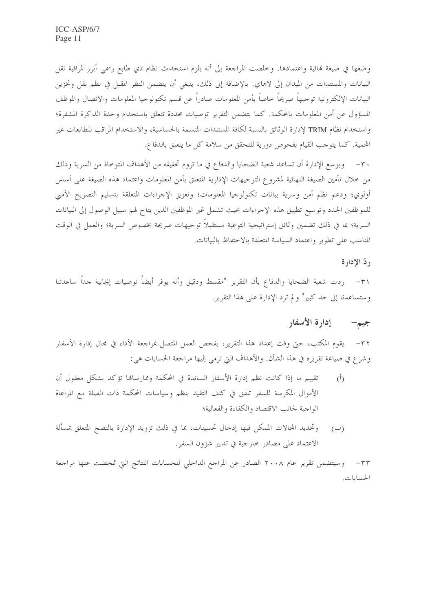وضعها في صيغة لهائية واعتمادها. وخلصت المراجعة إلى أنه يلزم استحداث نظام ذي طابع رسمي أبرز لمراقبة نقل البيانات والمستندات من الميدان إلى لاهاي. بالإضافة إلى ذلك، ينبغي أن يتضمن النظر المقبل في نظم نقل وتخزين البيانات الإلكترونية توجيهاً صريحاً حاصاً بأمن المعلومات صادراً عن قسم تكنولوجيا المعلومات والاتصال والموظف المسؤول عن أمن المعلومات بالمحكمة. كما يتضمن التقرير توصيات محددة تتعلق باستخدام وحدة الذاكرة المشفرة؛ واستخدام نظام TRIM لإدارة الوثائق بالنسبة لكافة المستندات المتسمة بالحساسية، والاستخدام المراقب للطابعات غير المحمية. كما يتوجب القيام بفحوص دورية للتحقق من سلامة كل ما يتعلق بالدفاع.

٣٠ – وبوسع الإدارة أن تساعد شعبة الضحايا والدفاع في ما تروم تحقيقه من الأهداف المتوحاة من السرية وذلك من حلال تأمين الصيغة النهائية لمشروع التوجيهات الإدارية المتعلق بأمن المعلومات واعتماد هذه الصيغة على أساس أولوي؛ ودعم نظم أمن وسرية بيانات تكنولوجيا المعلومات؛ وتعزيز الإجراءات المتعلقة بتسليم التصريح الأمني للموظفين الجدد وتوسيع تطبيق هذه الإجراءات بحيث تشمل غير الموظفين الذين يتاح لهم سبيل الوصول إلى البيانات السرية؛ بما في ذلك تضمين وثائق إستراتيجية التوعية مستقبلاً توجيهات صريحة بخصوص السرية؛ والعمل في الوقت المناسب على تطوير واعتماد السياسة المتعلقة بالاحتفاظ بالبيانات.

#### ردّ الإدارة

٣١– ردت شعبة الضحايا والدفاع بأن التقرير "مقسط ودقيق وأنه يوفر أيضاً توصيات إيجابية حداً ساعدتنا وستساعدنا إلى حد كبير" ولم ترد الإدارة على هذا التقرير.

#### إدارة الأسفار جيم-

يقوم المكتب، حتى وقت إعداد هذا التقرير، بفحص العمل المتصل بمراجعة الأداء في مجال إدارة الأسفار  $-\tau \tau$ وشرع في صياغة تقريره في هذا الشأن. والأهداف التي ترمي إليها مراجعة الحسابات هي:

- تقييم ما إذا كانت نظم إدارة الأسفار السائدة في المحكمة وممارساقما تؤكد بشكل معقول أن  $(1)$ الأموال المكرسة للسفر تنفق في كنف التقيد بنظم وسياسات المحكمة ذات الصلة مع المراعاة الواحبة لجانب الاقتصاد والكفاءة والفعالية؛
- وتحديد المحالات الممكن فيها إدخال تحسينات، بما في ذلك تزويد الإدارة بالنصح المتعلق بمسألة  $(\hookrightarrow)$ الاعتماد على مصادر حارجية في تدبير شؤون السفر.

٣٣ – وسيتضمن تقرير عام ٢٠٠٨ الصادر عن المراجع الداخلي للحسابات النتائج التي تمخضت عنها مراجعة الحسابات.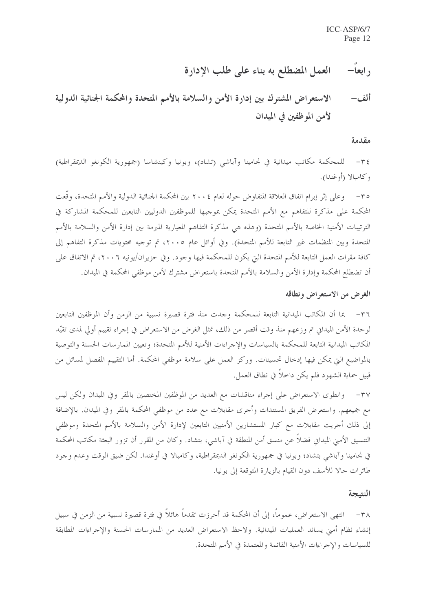#### العمل المضطلع به بناء على طلب الإدارة  $-$ ابعا $-$

### الاستعراض المشترك بين إدارة الأمن والسلامة بالأمم المتحدة والمحكمة الجنائية الدولية ألف– لأمن الموظفين في الميدان

#### مقدمة

٣٤– للمحكمة مكاتب ميدانية في نجامينا وآباشي (تشاد)، وبونيا وكينشاسا (جمهورية الكونغو الديمقراطية) و كامبالا (أوغندا).

٣٥– وعلى إثر إبرام اتفاق العلاقة المتفاوض حوله لعام ٢٠٠٤ بين المحكمة الجنائية الدولية والأمم المتحدة، وقّعت المحكمة على مذكرة للتفاهم مع الأمم المتحدة يمكن بموجبها للموظفين الدوليين التابعين للمحكمة المشاركة في الترتيبات الأمنية الخاصة بالأمم المتحدة (وهذه هي مذكرة التفاهم المعيارية المبرمة بين إدارة الأمن والسلامة بالأمم المتحدة وبين المنظمات غير التابعة للأمم المتحدة). وفي أوائل عام ٢٠٠٥، تم توجيه محتويات مذكرة التفاهم إلى كافة مقرات العمل التابعة للأمم المتحدة التي يكون للمحكمة فيها وجود. وفي حزيران/يونيه ٢٠٠٦، تم الاتفاق على أن تضطلع المحكمة وإدارة الأمن والسلامة بالأمم المتحدة باستعراض مشترك لأمن موظفي المحكمة في الميدان.

### الغرض من الاستعراض ونطاقه

٣٦ – بما أن المكاتب الميدانية التابعة للمحكمة وحدت منذ فترة قصيرة نسبية من الزمن وأن الموظفين التابعين لوحدة الأمن الميداني تم وزعهم منذ وقت أقصر من ذلك، تمثل الغرض من الاستعراض في إحراء تقييم أولى لمدى تقيّد المكاتب الميدانية التابعة للمحكمة بالسياسات والإحراءات الأمنية للأمم المتحدة؛ وتعيين الممارسات الحسنة والتوصية بالمواضيع التي يمكن فيها إدخال تحسينات. وركز العمل على سلامة موظفي المحكمة. أما التقييم المفصل لمسائل من قبيل حماية الشهود فلم يكن داخلاً في نطاق العمل.

٣٧– وانطوى الاستعراض على إجراء مناقشات مع العديد من الموظفين المختصين بالمقر وفي الميدان ولكن ليس مع جميعهم. واستعرض الفريق المستندات وأجرى مقابلات مع عدد من موظفي المحكمة بالمقر وفي الميدان. بالإضافة إلى ذلك أجريت مقابلات مع كبار المستشارين الأمنيين التابعين لإدارة الأمن والسلامة بالأمم المتحدة وموظفي التنسيق الأمين الميداني فضلاً عن منسق أمن المنطقة في آباشي، بتشاد. وكان من المقرر أن تزور البعثة مكاتب المحكمة في نحامينا وآباشي بتشاد؛ وبونيا في جمهورية الكونغو الديمقراطية، وكامبالا في أوغندا. لكن ضيق الوقت وعدم وجود طائرات حالا للأسف دون القيام بالزيارة المتوقعة إلى بونيا.

#### النتيجة

٣٨ – انتهى الاستعراض، عموماً، إلى أن المحكمة قد أحرزت تقدماً هائلاً في فترة قصيرة نسبية من الزمن في سبيل إنشاء نظام أمني يساند العمليات الميدانية. ولاحظ الاستعراض العديد من الممارسات الحسنة والإجراءات المطابقة للسياسات والإجراءات الأمنية القائمة والمعتمدة في الأمم المتحدة.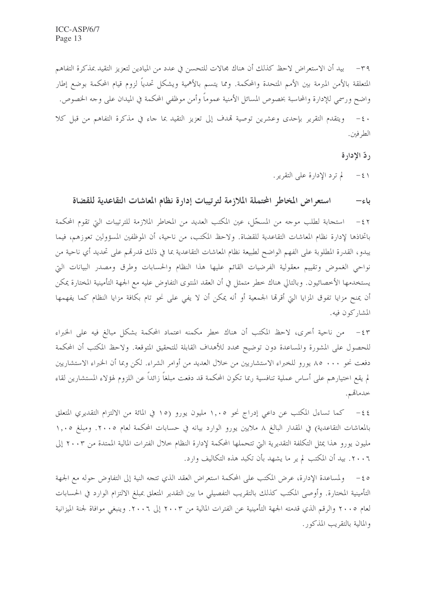٣٩ – بيد أن الاستعراض لاحظ كذلك أن هناك مجالات للتحسن في عدد من الميادين لتعزيز التقيد بمذكرة التفاهم المتعلقة بالأمن المبرمة بين الأمم المتحدة والمحكمة. ومما يتسم بالأهمية ويشكل تحدياً لزوم قيام المحكمة بوضع إطار واضح ورسمي للإدارة والمحاسبة بخصوص المسائل الأمنية عموماً وأمن موظفي المحكمة في الميدان على وحه الخصوص. ويتقدم التقرير بإحدى وعشرين توصية قمدف إلى تعزيز التقيد بما جاء في مذكرة التفاهم من قبل كلا  $-\xi$ . الطرفين.

, دّ الادارة

لم ترد الإدارة على التقرير.  $-\xi$ 

استعراض المخاطر المحتملة الملازمة لترتيبات إدارة نظام المعاشات التقاعدية للقضاة باء–

استجابة لطلب موجه من المسجّل، عين المكتب العديد من المخاطر الملازمة للترتيبات التي تقوم المحكمة  $-57$ باتخاذها لإدارة نظام المعاشات التقاعدية للقضاة. ولاحظ المكتب، من ناحية، أن الموظفين المسؤولين تعوزهم، فيما يبدو، القدرة المطلوبة على الفهم الواضح لطبيعة نظام المعاشات التقاعدية بما في ذلك قدرهم على تحديد أي ناحية من نواحى الغموض وتقييم معقولية الفرضيات القائم عليها هذا النظام والحسابات وطرق ومصدر البيانات التي يستخدمها الأخصائيون. وبالتالي هناك خطر متمثل في أن العقد المنتوى التفاوض عليه مع الجهة التأمينية المختارة يمكن أن يمنح مزايا تفوق المزايا التي أقرها الجمعية أو أنه يمكن أن لا يفي على نحو تام بكافة مزايا النظام كما يفهمها المشاركون فيه.

٤٣ - من ناحية أخرى، لاحظ المكتب أن هناك خطر مكمنه اعتماد المحكمة بشكل مبالغ فيه على الخبراء للحصول على المشورة والمساعدة دون توضيح محدد للأهداف القابلة للتحقيق المتوقعة. ولاحظ المكتب أن المحكمة دفعت نحو ٨٠٠ ٨٥ يورو للخبراء الاستشاريين من حلال العديد من أوامر الشراء. لكن وبما أن الخبراء الاستشاريين لم يقع اختيارهم على أساس عملية تنافسية ربما تكون المحكمة قد دفعت مبلغاً زائداً عن اللزوم لهؤلاء المستشارين لقاء خدماتهم.

٤٤– كما تساءل المكتب عن داعي إدراج نحو ١,٠٥ مليون يورو (١٥ في المائة من الالتزام التقديري المتعلق بالمعاشات التقاعدية) في المقدار البالغ ٨ ملايين يورو الوارد بيانه في حسابات المحكمة لعام ٢٠٠٥. ومبلغ ١,٠٥ مليون يورو هذا يمثل التكلفة التقديرية التي تتحملها المحكمة لإدارة النظام حلال الفترات المالية الممتدة من ٢٠٠٣ إلى ٢٠٠٦. بيد أن المكتب لم ير ما يشهد بأن تكبد هذه التكاليف وارد.

ه ε – ولمساعدة الإدارة، عرض المكتب على المحكمة استعراض العقد الذي تتجه النية إلى التفاوض حوله مع الجهة التأمينية المختارة. وأوصى المكتب كذلك بالتقريب التفصيلي ما بين التقدير المتعلق بمبلغ الالتزام الوارد في الحسابات لعام ٢٠٠٥ والرقم الذي قدمته الجهة التأمينية عن الفترات المالية من ٢٠٠٣ إلى ٢٠٠٦. وينبغي موافاة لجنة الميزانية والمالية بالتقريب المذكور.